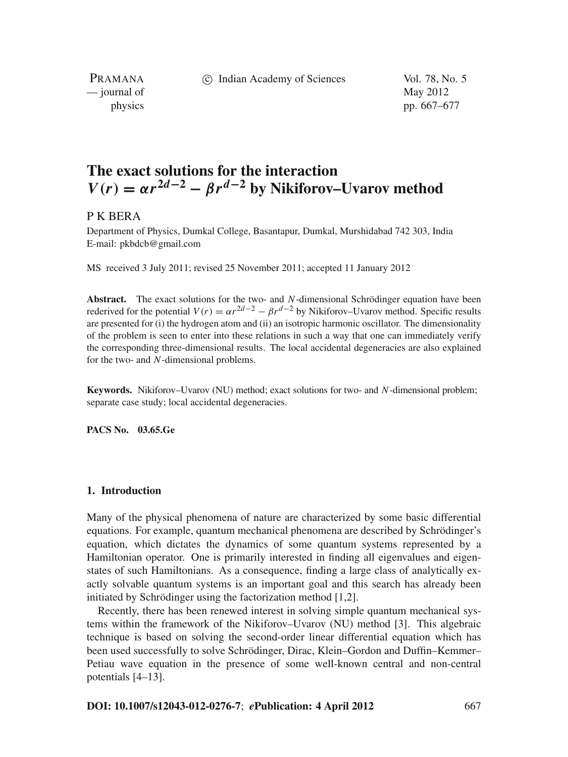c Indian Academy of Sciences Vol. 78, No. 5

PRAMANA  $\frac{1}{2}$  journal of May 2012

physics pp. 667–677

# **The exact solutions for the interaction**  $V(r) = \alpha r^{2d-2} - \beta r^{d-2}$  by Nikiforov–Uvarov method

# P K BERA

Department of Physics, Dumkal College, Basantapur, Dumkal, Murshidabad 742 303, India E-mail: pkbdcb@gmail.com

MS received 3 July 2011; revised 25 November 2011; accepted 11 January 2012

**Abstract.** The exact solutions for the two- and *N*-dimensional Schrödinger equation have been rederived for the potential  $V(r) = \alpha r^{2d-2} - \beta r^{d-2}$  by Nikiforov–Uvarov method. Specific results are presented for (i) the hydrogen atom and (ii) an isotropic harmonic oscillator. The dimensionality of the problem is seen to enter into these relations in such a way that one can immediately verify the corresponding three-dimensional results. The local accidental degeneracies are also explained for the two- and *N*-dimensional problems.

**Keywords.** Nikiforov–Uvarov (NU) method; exact solutions for two- and *N*-dimensional problem; separate case study; local accidental degeneracies.

**PACS No. 03.65.Ge**

## **1. Introduction**

Many of the physical phenomena of nature are characterized by some basic differential equations. For example, quantum mechanical phenomena are described by Schrödinger's equation, which dictates the dynamics of some quantum systems represented by a Hamiltonian operator. One is primarily interested in finding all eigenvalues and eigenstates of such Hamiltonians. As a consequence, finding a large class of analytically exactly solvable quantum systems is an important goal and this search has already been initiated by Schrödinger using the factorization method [1,2].

Recently, there has been renewed interest in solving simple quantum mechanical systems within the framework of the Nikiforov–Uvarov (NU) method [3]. This algebraic technique is based on solving the second-order linear differential equation which has been used successfully to solve Schrödinger, Dirac, Klein–Gordon and Duffin–Kemmer– Petiau wave equation in the presence of some well-known central and non-central potentials [4–13].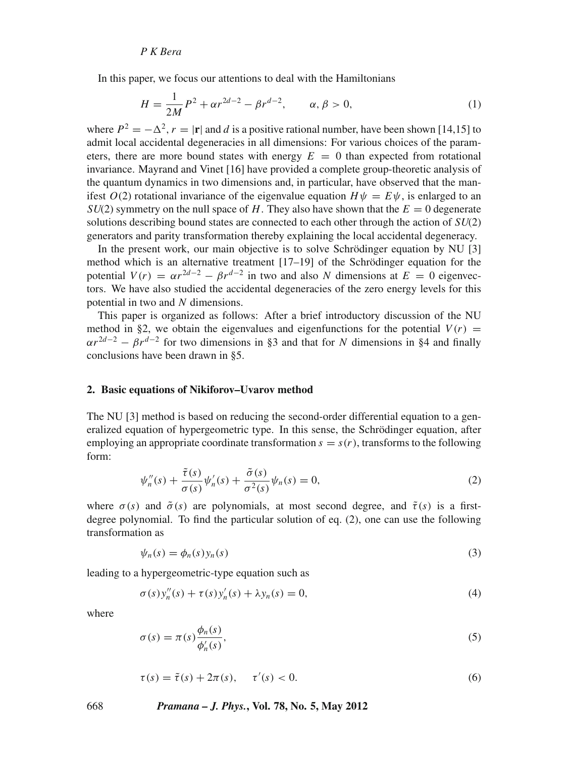In this paper, we focus our attentions to deal with the Hamiltonians

$$
H = \frac{1}{2M}P^2 + \alpha r^{2d-2} - \beta r^{d-2}, \qquad \alpha, \beta > 0,
$$
 (1)

where  $P^2 = -\Delta^2$ ,  $r = |\mathbf{r}|$  and *d* is a positive rational number, have been shown [14,15] to admit local accidental degeneracies in all dimensions: For various choices of the parameters, there are more bound states with energy  $E = 0$  than expected from rotational invariance. Mayrand and Vinet [16] have provided a complete group-theoretic analysis of the quantum dynamics in two dimensions and, in particular, have observed that the manifest  $O(2)$  rotational invariance of the eigenvalue equation  $H\psi = E\psi$ , is enlarged to an *SU(2)* symmetry on the null space of *H*. They also have shown that the  $E = 0$  degenerate solutions describing bound states are connected to each other through the action of *SU*(2) generators and parity transformation thereby explaining the local accidental degeneracy.

In the present work, our main objective is to solve Schrödinger equation by NU [3] method which is an alternative treatment [17–19] of the Schrödinger equation for the potential  $V(r) = \alpha r^{2d-2} - \beta r^{d-2}$  in two and also *N* dimensions at  $E = 0$  eigenvectors. We have also studied the accidental degeneracies of the zero energy levels for this potential in two and *N* dimensions.

This paper is organized as follows: After a brief introductory discussion of the NU method in §2, we obtain the eigenvalues and eigenfunctions for the potential  $V(r)$  =  $\alpha r^{2d-2} - \beta r^{d-2}$  for two dimensions in §3 and that for *N* dimensions in §4 and finally conclusions have been drawn in §5.

## **2. Basic equations of Nikiforov–Uvarov method**

The NU [3] method is based on reducing the second-order differential equation to a generalized equation of hypergeometric type. In this sense, the Schrödinger equation, after employing an appropriate coordinate transformation  $s = s(r)$ , transforms to the following form:

$$
\psi_n''(s) + \frac{\tilde{\tau}(s)}{\sigma(s)} \psi_n'(s) + \frac{\tilde{\sigma}(s)}{\sigma^2(s)} \psi_n(s) = 0,
$$
\n(2)

where  $\sigma(s)$  and  $\tilde{\sigma}(s)$  are polynomials, at most second degree, and  $\tilde{\tau}(s)$  is a firstdegree polynomial. To find the particular solution of eq. (2), one can use the following transformation as

$$
\psi_n(s) = \phi_n(s) y_n(s) \tag{3}
$$

leading to a hypergeometric-type equation such as

$$
\sigma(s)y_n''(s) + \tau(s)y_n'(s) + \lambda y_n(s) = 0,
$$
\n(4)

where

$$
\sigma(s) = \pi(s) \frac{\phi_n(s)}{\phi'_n(s)},\tag{5}
$$

$$
\tau(s) = \tilde{\tau}(s) + 2\pi(s), \quad \tau'(s) < 0. \tag{6}
$$

668 *Pramana – J. Phys.***, Vol. 78, No. 5, May 2012**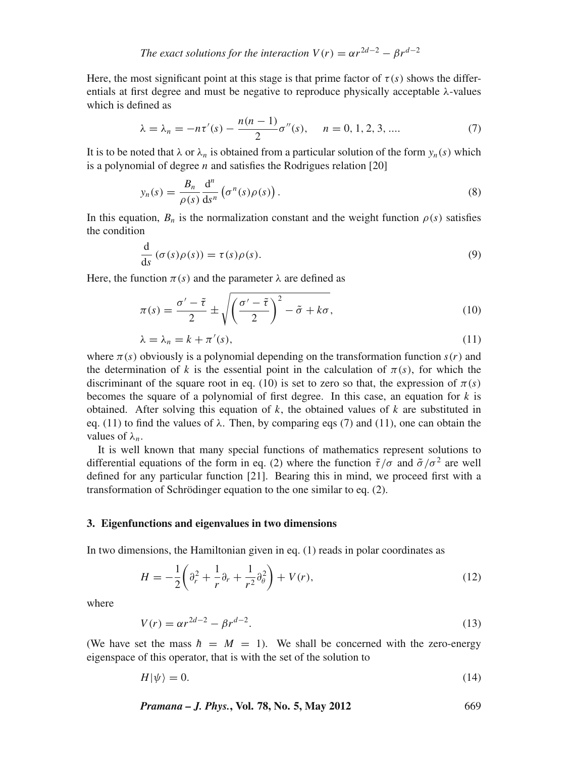*The exact solutions for the interaction*  $V(r) = \alpha r^{2d-2} - \beta r^{d-2}$ 

Here, the most significant point at this stage is that prime factor of  $\tau(s)$  shows the differentials at first degree and must be negative to reproduce physically acceptable  $\lambda$ -values which is defined as

$$
\lambda = \lambda_n = -n\tau'(s) - \frac{n(n-1)}{2}\sigma''(s), \quad n = 0, 1, 2, 3, .... \tag{7}
$$

It is to be noted that  $\lambda$  or  $\lambda_n$  is obtained from a particular solution of the form  $y_n(s)$  which is a polynomial of degree *n* and satisfies the Rodrigues relation [20]

$$
y_n(s) = \frac{B_n}{\rho(s)} \frac{d^n}{ds^n} \left( \sigma^n(s) \rho(s) \right).
$$
 (8)

In this equation,  $B_n$  is the normalization constant and the weight function  $\rho(s)$  satisfies the condition

$$
\frac{d}{ds}(\sigma(s)\rho(s)) = \tau(s)\rho(s).
$$
\n(9)

Here, the function  $\pi(s)$  and the parameter  $\lambda$  are defined as

$$
\pi(s) = \frac{\sigma' - \tilde{\tau}}{2} \pm \sqrt{\left(\frac{\sigma' - \tilde{\tau}}{2}\right)^2 - \tilde{\sigma} + k\sigma},\tag{10}
$$

$$
\lambda = \lambda_n = k + \pi'(s),\tag{11}
$$

where  $\pi(s)$  obviously is a polynomial depending on the transformation function  $s(r)$  and the determination of *k* is the essential point in the calculation of  $\pi(s)$ , for which the discriminant of the square root in eq. (10) is set to zero so that, the expression of  $\pi(s)$ becomes the square of a polynomial of first degree. In this case, an equation for *k* is obtained. After solving this equation of *k*, the obtained values of *k* are substituted in eq. (11) to find the values of  $\lambda$ . Then, by comparing eqs (7) and (11), one can obtain the values of λ*n*.

It is well known that many special functions of mathematics represent solutions to differential equations of the form in eq. (2) where the function  $\tilde{\tau}/\sigma$  and  $\tilde{\sigma}/\sigma^2$  are well defined for any particular function [21]. Bearing this in mind, we proceed first with a transformation of Schrödinger equation to the one similar to eq. (2).

#### **3. Eigenfunctions and eigenvalues in two dimensions**

In two dimensions, the Hamiltonian given in eq. (1) reads in polar coordinates as

$$
H = -\frac{1}{2} \left( \partial_r^2 + \frac{1}{r} \partial_r + \frac{1}{r^2} \partial_\theta^2 \right) + V(r),
$$
 (12)

where

$$
V(r) = \alpha r^{2d-2} - \beta r^{d-2}.
$$
\n(13)

(We have set the mass  $\hbar = M = 1$ ). We shall be concerned with the zero-energy eigenspace of this operator, that is with the set of the solution to

$$
H|\psi\rangle = 0.\tag{14}
$$

*Pramana – J. Phys.***, Vol. 78, No. 5, May 2012** 669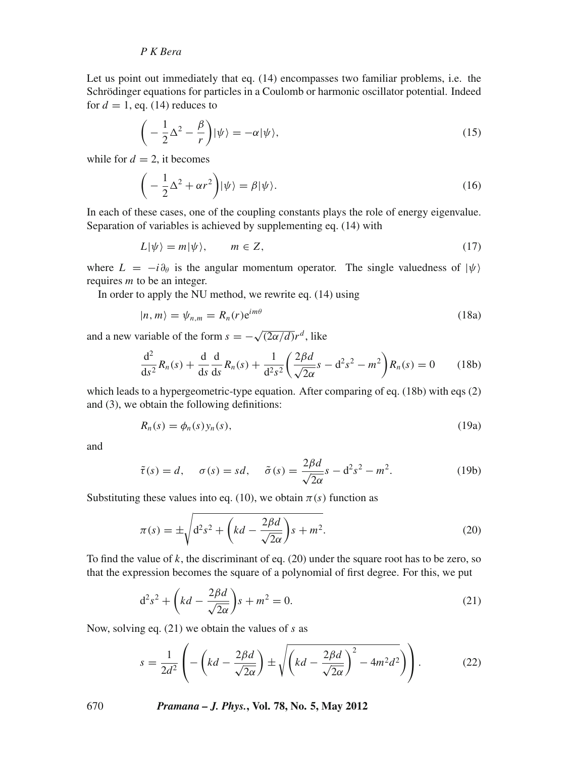Let us point out immediately that eq. (14) encompasses two familiar problems, i.e. the Schrödinger equations for particles in a Coulomb or harmonic oscillator potential. Indeed for  $d = 1$ , eq. (14) reduces to

$$
\left(-\frac{1}{2}\Delta^2 - \frac{\beta}{r}\right)|\psi\rangle = -\alpha|\psi\rangle,\tag{15}
$$

while for  $d = 2$ , it becomes

$$
\left(-\frac{1}{2}\Delta^2 + \alpha r^2\right)|\psi\rangle = \beta|\psi\rangle. \tag{16}
$$

In each of these cases, one of the coupling constants plays the role of energy eigenvalue. Separation of variables is achieved by supplementing eq. (14) with

$$
L|\psi\rangle = m|\psi\rangle, \qquad m \in Z,\tag{17}
$$

where  $L = -i\partial_{\theta}$  is the angular momentum operator. The single valuedness of  $|\psi\rangle$ requires *m* to be an integer.

In order to apply the NU method, we rewrite eq. (14) using

$$
|n,m\rangle = \psi_{n,m} = R_n(r)e^{im\theta} \tag{18a}
$$

and a new variable of the form  $s = -\sqrt{(2\alpha/d)}r^d$ , like

$$
\frac{d^2}{ds^2}R_n(s) + \frac{d}{ds}\frac{d}{ds}R_n(s) + \frac{1}{d^2s^2} \left(\frac{2\beta d}{\sqrt{2\alpha}}s - d^2s^2 - m^2\right)R_n(s) = 0 \tag{18b}
$$

which leads to a hypergeometric-type equation. After comparing of eq. (18b) with eqs (2) and (3), we obtain the following definitions:

$$
R_n(s) = \phi_n(s) y_n(s), \tag{19a}
$$

and

$$
\tilde{\tau}(s) = d, \quad \sigma(s) = sd, \quad \tilde{\sigma}(s) = \frac{2\beta d}{\sqrt{2\alpha}}s - d^2s^2 - m^2. \tag{19b}
$$

Substituting these values into eq. (10), we obtain  $\pi(s)$  function as

$$
\pi(s) = \pm \sqrt{\mathrm{d}^2 s^2 + \left(kd - \frac{2\beta d}{\sqrt{2\alpha}}\right)s + m^2}.\tag{20}
$$

To find the value of *k*, the discriminant of eq. (20) under the square root has to be zero, so that the expression becomes the square of a polynomial of first degree. For this, we put

$$
d^2s^2 + \left(kd - \frac{2\beta d}{\sqrt{2\alpha}}\right)s + m^2 = 0.
$$
\n(21)

Now, solving eq. (21) we obtain the values of *s* as

$$
s = \frac{1}{2d^2} \left( -\left( kd - \frac{2\beta d}{\sqrt{2\alpha}}\right) \pm \sqrt{\left( kd - \frac{2\beta d}{\sqrt{2\alpha}}\right)^2 - 4m^2 d^2} \right) \right). \tag{22}
$$

670 *Pramana – J. Phys.***, Vol. 78, No. 5, May 2012**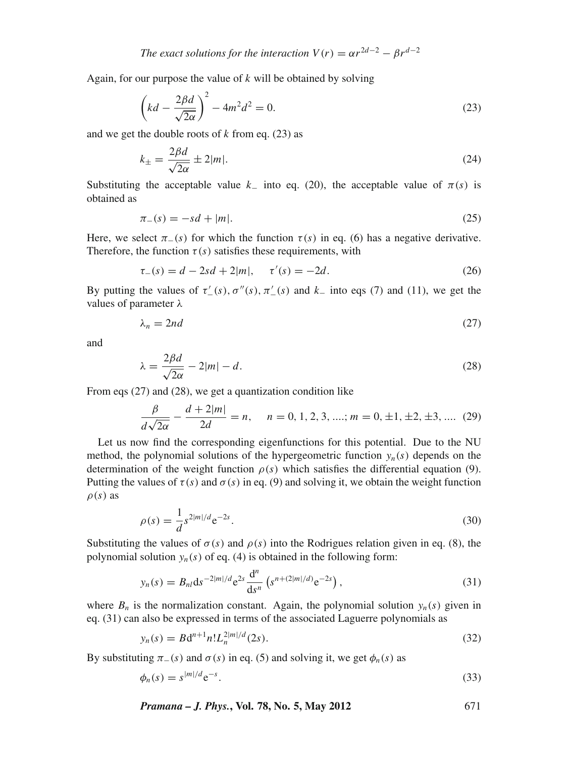Again, for our purpose the value of *k* will be obtained by solving

$$
\left(kd - \frac{2\beta d}{\sqrt{2\alpha}}\right)^2 - 4m^2 d^2 = 0.
$$
\n(23)

and we get the double roots of  $k$  from eq. (23) as

$$
k_{\pm} = \frac{2\beta d}{\sqrt{2\alpha}} \pm 2|m|.
$$
 (24)

Substituting the acceptable value  $k_$  into eq. (20), the acceptable value of  $\pi(s)$  is obtained as

$$
\pi_{-}(s) = -sd + |m|.\tag{25}
$$

Here, we select  $\pi_-(s)$  for which the function  $\tau(s)$  in eq. (6) has a negative derivative. Therefore, the function  $\tau(s)$  satisfies these requirements, with

$$
\tau_{-}(s) = d - 2sd + 2|m|, \quad \tau'(s) = -2d. \tag{26}
$$

By putting the values of  $\tau'_{-}(s)$ ,  $\sigma''(s)$ ,  $\pi'_{-}(s)$  and  $k_{-}$  into eqs (7) and (11), we get the values of parameter  $\lambda$ 

$$
\lambda_n = 2nd \tag{27}
$$

and

$$
\lambda = \frac{2\beta d}{\sqrt{2\alpha}} - 2|m| - d. \tag{28}
$$

From eqs (27) and (28), we get a quantization condition like

$$
\frac{\beta}{d\sqrt{2\alpha}} - \frac{d+2|m|}{2d} = n, \quad n = 0, 1, 2, 3, \dots; m = 0, \pm 1, \pm 2, \pm 3, \dots
$$
 (29)

Let us now find the corresponding eigenfunctions for this potential. Due to the NU method, the polynomial solutions of the hypergeometric function  $y_n(s)$  depends on the determination of the weight function  $\rho(s)$  which satisfies the differential equation (9). Putting the values of  $\tau(s)$  and  $\sigma(s)$  in eq. (9) and solving it, we obtain the weight function  $\rho(s)$  as

$$
\rho(s) = \frac{1}{d} s^{2|m|/d} e^{-2s}.
$$
\n(30)

Substituting the values of  $\sigma(s)$  and  $\rho(s)$  into the Rodrigues relation given in eq. (8), the polynomial solution  $y_n(s)$  of eq. (4) is obtained in the following form:

$$
y_n(s) = B_{nl} \mathrm{d}s^{-2|m|/d} e^{2s} \frac{\mathrm{d}^n}{\mathrm{d}s^n} \left( s^{n+(2|m|/d)} e^{-2s} \right),\tag{31}
$$

where  $B_n$  is the normalization constant. Again, the polynomial solution  $y_n(s)$  given in eq. (31) can also be expressed in terms of the associated Laguerre polynomials as

$$
y_n(s) = B d^{n+1} n! L_n^{2|m|/d} (2s).
$$
 (32)

By substituting  $\pi_-(s)$  and  $\sigma(s)$  in eq. (5) and solving it, we get  $\phi_n(s)$  as

$$
\phi_n(s) = s^{|m|/d} e^{-s}.\tag{33}
$$

$$
Pramana - J. Phys., Vol. 78, No. 5, May 2012
$$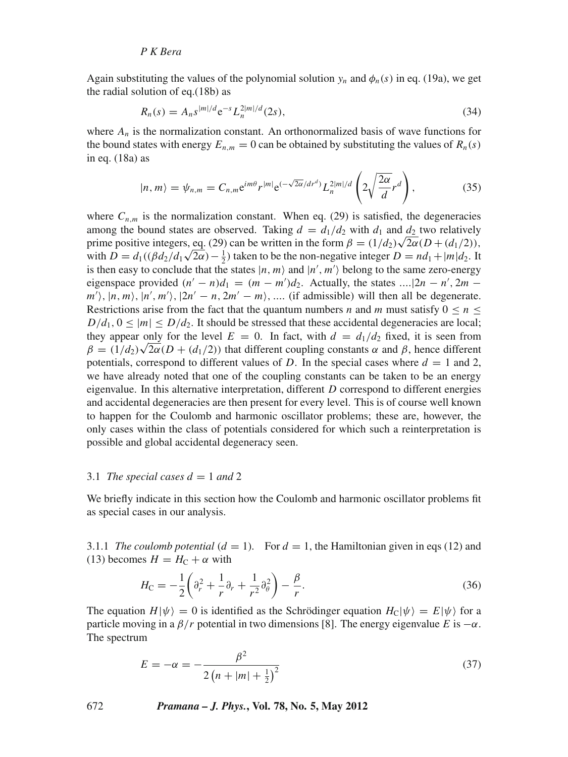Again substituting the values of the polynomial solution  $y_n$  and  $\phi_n(s)$  in eq. (19a), we get the radial solution of eq.(18b) as

$$
R_n(s) = A_n s^{|m|/d} e^{-s} L_n^{2|m|/d}(2s),
$$
\n(34)

where  $A_n$  is the normalization constant. An orthonormalized basis of wave functions for the bound states with energy  $E_{n,m} = 0$  can be obtained by substituting the values of  $R_n(s)$ in eq. (18a) as

$$
|n,m\rangle = \psi_{n,m} = C_{n,m} e^{im\theta} r^{|m|} e^{(-\sqrt{2\alpha}/dr^d)} L_n^{2|m|/d} \left(2\sqrt{\frac{2\alpha}{d}}r^d\right),
$$
 (35)

where  $C_{n,m}$  is the normalization constant. When eq. (29) is satisfied, the degeneracies among the bound states are observed. Taking  $d = d_1/d_2$  with  $d_1$  and  $d_2$  two relatively among the bound states are observed. Taking  $a = a_1/a_2$  with  $a_1$  and  $a_2$  two relatively<br>prime positive integers, eq. (29) can be written in the form  $\beta = (1/d_2)\sqrt{2\alpha}(D + (d_1/2))$ , prime positive integers, eq. (29) can be written in the form  $p = (1/a_2)\sqrt{2\alpha}(D + (a_1/2))$ ,<br>with  $D = d_1((\beta d_2/d_1\sqrt{2\alpha}) - \frac{1}{2})$  taken to be the non-negative integer  $D = nd_1 + |m|d_2$ . It is then easy to conclude that the states  $|n, m\rangle$  and  $|n', m'\rangle$  belong to the same zero-energy eigenspace provided  $(n' - n)d_1 = (m - m')d_2$ . Actually, the states .... $|2n - n'$ ,  $2m$  $m'$ ,  $|n, m \rangle$ ,  $|n', m' \rangle$ ,  $|2n' - n, 2m' - m \rangle$ , .... (if admissible) will then all be degenerate. Restrictions arise from the fact that the quantum numbers *n* and *m* must satisfy  $0 \le n \le$  $D/d_1$ ,  $0 \le |m| \le D/d_2$ . It should be stressed that these accidental degeneracies are local; they appear only for the level  $E = 0$ . In fact, with  $d = d_1/d_2$  fixed, it is seen from hey appear only for the level  $E = 0$ . In fact, with  $a = a_1/a_2$  fixed, it is seen from  $\beta = (1/d_2)\sqrt{2\alpha}(D + (d_1/2))$  that different coupling constants  $\alpha$  and  $\beta$ , hence different potentials, correspond to different values of *D*. In the special cases where  $d = 1$  and 2, we have already noted that one of the coupling constants can be taken to be an energy eigenvalue. In this alternative interpretation, different *D* correspond to different energies and accidental degeneracies are then present for every level. This is of course well known to happen for the Coulomb and harmonic oscillator problems; these are, however, the only cases within the class of potentials considered for which such a reinterpretation is possible and global accidental degeneracy seen.

## 3.1 *The special cases*  $d = 1$  *and* 2

We briefly indicate in this section how the Coulomb and harmonic oscillator problems fit as special cases in our analysis.

3.1.1 *The coulomb potential*  $(d = 1)$ . For  $d = 1$ , the Hamiltonian given in eqs (12) and (13) becomes  $H = H_C + \alpha$  with

$$
H_{\rm C} = -\frac{1}{2} \left( \partial_r^2 + \frac{1}{r} \partial_r + \frac{1}{r^2} \partial_\theta^2 \right) - \frac{\beta}{r}.
$$
 (36)

The equation  $H|\psi\rangle = 0$  is identified as the Schrödinger equation  $H_C|\psi\rangle = E|\psi\rangle$  for a particle moving in a  $\beta/r$  potential in two dimensions [8]. The energy eigenvalue *E* is  $-\alpha$ . The spectrum

$$
E = -\alpha = -\frac{\beta^2}{2\left(n + |m| + \frac{1}{2}\right)^2}
$$
\n(37)

672 *Pramana – J. Phys.***, Vol. 78, No. 5, May 2012**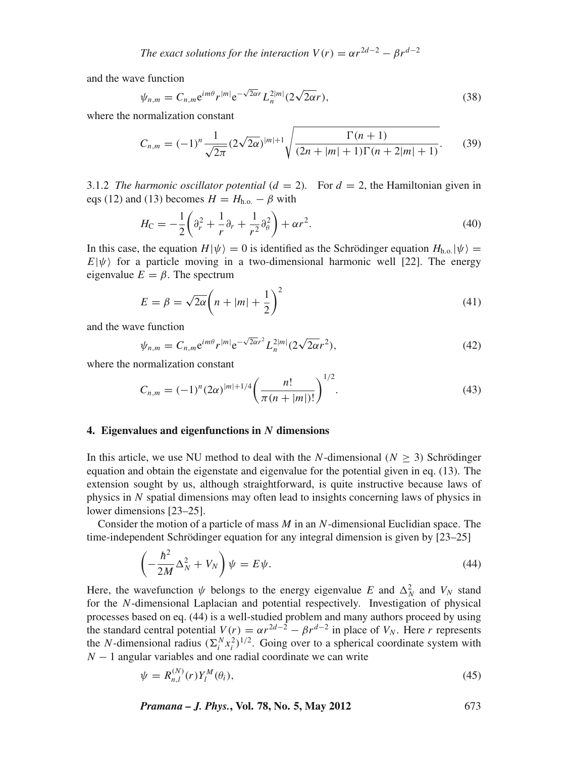*The exact solutions for the interaction*  $V(r) = \alpha r^{2d-2} - \beta r^{d-2}$ 

and the wave function

$$
\psi_{n,m} = C_{n,m} e^{im\theta} r^{|m|} e^{-\sqrt{2\alpha}r} L_n^{2|m|} (2\sqrt{2\alpha}r), \qquad (38)
$$

where the normalization constant

$$
C_{n,m} = (-1)^n \frac{1}{\sqrt{2\pi}} (2\sqrt{2\alpha})^{|m|+1} \sqrt{\frac{\Gamma(n+1)}{(2n+|m|+1)\Gamma(n+2|m|+1)}}.
$$
 (39)

3.1.2 *The harmonic oscillator potential*  $(d = 2)$ *.* For  $d = 2$ , the Hamiltonian given in eqs (12) and (13) becomes  $H = H_{h.o.} - \beta$  with

$$
H_{\rm C} = -\frac{1}{2} \left( \partial_r^2 + \frac{1}{r} \partial_r + \frac{1}{r^2} \partial_\theta^2 \right) + \alpha r^2.
$$
 (40)

In this case, the equation  $H|\psi\rangle = 0$  is identified as the Schrödinger equation  $H_{h.o.}|\psi\rangle =$  $E|\psi\rangle$  for a particle moving in a two-dimensional harmonic well [22]. The energy eigenvalue  $E = \beta$ . The spectrum

$$
E = \beta = \sqrt{2\alpha} \left( n + |m| + \frac{1}{2} \right)^2 \tag{41}
$$

and the wave function

$$
\psi_{n,m} = C_{n,m} e^{im\theta} r^{|m|} e^{-\sqrt{2\alpha}r^2} L_n^{2|m|} (2\sqrt{2\alpha}r^2), \tag{42}
$$

where the normalization constant

$$
C_{n,m} = (-1)^n (2\alpha)^{|m|+1/4} \left(\frac{n!}{\pi (n+|m|)!}\right)^{1/2}.
$$
 (43)

#### **4. Eigenvalues and eigenfunctions in** *N* **dimensions**

In this article, we use NU method to deal with the *N*-dimensional ( $N > 3$ ) Schrödinger equation and obtain the eigenstate and eigenvalue for the potential given in eq. (13). The extension sought by us, although straightforward, is quite instructive because laws of physics in *N* spatial dimensions may often lead to insights concerning laws of physics in lower dimensions [23–25].

Consider the motion of a particle of mass *M* in an *N*-dimensional Euclidian space. The time-independent Schrödinger equation for any integral dimension is given by [23–25]

$$
\left(-\frac{\hbar^2}{2M}\Delta_N^2 + V_N\right)\psi = E\psi.
$$
\n(44)

Here, the wavefunction  $\psi$  belongs to the energy eigenvalue *E* and  $\Delta_N^2$  and  $V_N$  stand for the *N*-dimensional Laplacian and potential respectively. Investigation of physical processes based on eq. (44) is a well-studied problem and many authors proceed by using the standard central potential  $V(r) = \alpha r^{2d-2} - \beta r^{d-2}$  in place of  $V_N$ . Here *r* represents the *N*-dimensional radius  $(\sum_{i}^{N} x_i^2)^{1/2}$ . Going over to a spherical coordinate system with *N* − 1 angular variables and one radial coordinate we can write

$$
\psi = R_{n,l}^{(N)}(r) Y_l^M(\theta_i), \tag{45}
$$

*Pramana – J. Phys.***, Vol. 78, No. 5, May 2012** 673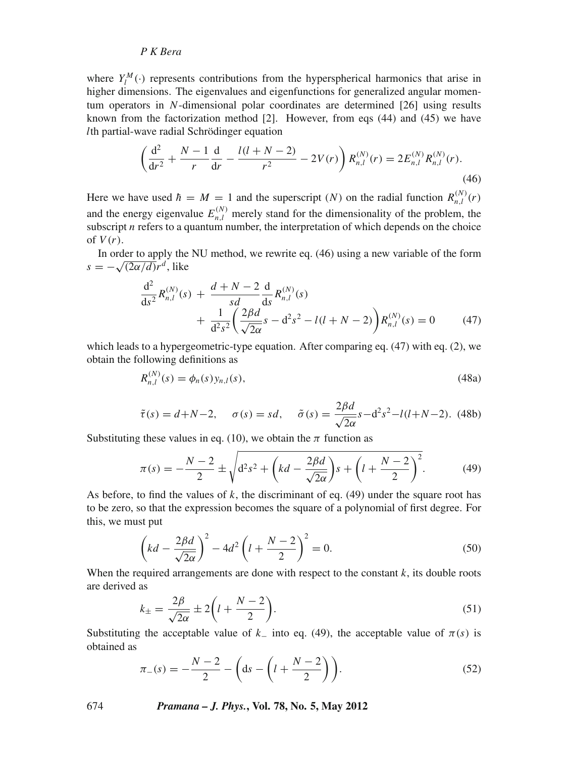where  $Y_l^M(\cdot)$  represents contributions from the hyperspherical harmonics that arise in higher dimensions. The eigenvalues and eigenfunctions for generalized angular momentum operators in *N*-dimensional polar coordinates are determined [26] using results known from the factorization method  $[2]$ . However, from eqs  $(44)$  and  $(45)$  we have *l*th partial-wave radial Schrödinger equation

$$
\left(\frac{d^2}{dr^2} + \frac{N-1}{r}\frac{d}{dr} - \frac{l(l+N-2)}{r^2} - 2V(r)\right)R_{n,l}^{(N)}(r) = 2E_{n,l}^{(N)}R_{n,l}^{(N)}(r).
$$
\n(46)

Here we have used  $\hbar = M = 1$  and the superscript (*N*) on the radial function  $R_{n,l}^{(N)}(r)$ and the energy eigenvalue  $E_{n,l}^{(N)}$  merely stand for the dimensionality of the problem, the subscript  $n$  refers to a quantum number, the interpretation of which depends on the choice of  $V(r)$ .

In order to apply the NU method, we rewrite eq. (46) using a new variable of the form  $s = -\sqrt{(2\alpha/d)}r^d$ , like

$$
\frac{d^2}{ds^2} R_{n,l}^{(N)}(s) + \frac{d+N-2}{sd} \frac{d}{ds} R_{n,l}^{(N)}(s) \n+ \frac{1}{d^2 s^2} \left( \frac{2\beta d}{\sqrt{2\alpha}} s - d^2 s^2 - l(l+N-2) \right) R_{n,l}^{(N)}(s) = 0
$$
\n(47)

which leads to a hypergeometric-type equation. After comparing eq. (47) with eq. (2), we obtain the following definitions as

$$
R_{n,l}^{(N)}(s) = \phi_n(s) y_{n,l}(s),
$$
\n(48a)

$$
\tilde{\tau}(s) = d + N - 2, \quad \sigma(s) = sd, \quad \tilde{\sigma}(s) = \frac{2\beta d}{\sqrt{2\alpha}}s - d^2s^2 - l(l + N - 2).
$$
 (48b)

Substituting these values in eq. (10), we obtain the  $\pi$  function as

$$
\pi(s) = -\frac{N-2}{2} \pm \sqrt{d^2 s^2 + \left(kd - \frac{2\beta d}{\sqrt{2\alpha}}\right)s + \left(l + \frac{N-2}{2}\right)^2}.
$$
 (49)

As before, to find the values of *k*, the discriminant of eq. (49) under the square root has to be zero, so that the expression becomes the square of a polynomial of first degree. For this, we must put

$$
\left(kd - \frac{2\beta d}{\sqrt{2\alpha}}\right)^2 - 4d^2 \left(l + \frac{N-2}{2}\right)^2 = 0.
$$
 (50)

When the required arrangements are done with respect to the constant  $k$ , its double roots are derived as

$$
k_{\pm} = \frac{2\beta}{\sqrt{2\alpha}} \pm 2\left(l + \frac{N-2}{2}\right).
$$
\n(51)

Substituting the acceptable value of  $k_$  into eq. (49), the acceptable value of  $\pi(s)$  is obtained as

$$
\pi_{-}(s) = -\frac{N-2}{2} - \left(\text{ds} - \left(l + \frac{N-2}{2}\right)\right). \tag{52}
$$

674 *Pramana – J. Phys.***, Vol. 78, No. 5, May 2012**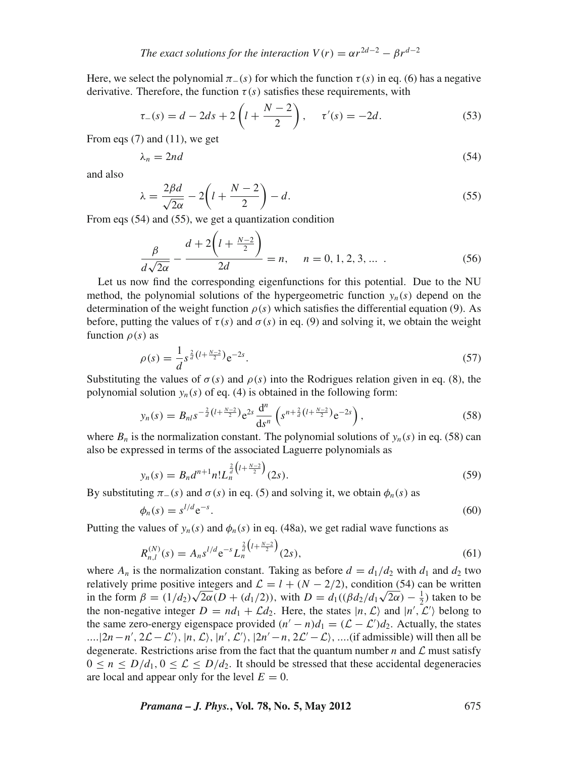Here, we select the polynomial  $\pi_-(s)$  for which the function  $\tau(s)$  in eq. (6) has a negative derivative. Therefore, the function  $\tau(s)$  satisfies these requirements, with

$$
\tau_{-}(s) = d - 2ds + 2\left(l + \frac{N-2}{2}\right), \quad \tau'(s) = -2d. \tag{53}
$$

From eqs (7) and (11), we get

$$
\lambda_n = 2nd \tag{54}
$$

and also

$$
\lambda = \frac{2\beta d}{\sqrt{2\alpha}} - 2\left(l + \frac{N-2}{2}\right) - d. \tag{55}
$$

From eqs (54) and (55), we get a quantization condition

$$
\frac{\beta}{d\sqrt{2\alpha}} - \frac{d + 2\left(l + \frac{N-2}{2}\right)}{2d} = n, \quad n = 0, 1, 2, 3, \dots \tag{56}
$$

Let us now find the corresponding eigenfunctions for this potential. Due to the NU method, the polynomial solutions of the hypergeometric function  $y_n(s)$  depend on the determination of the weight function  $\rho(s)$  which satisfies the differential equation (9). As before, putting the values of  $\tau(s)$  and  $\sigma(s)$  in eq. (9) and solving it, we obtain the weight function ρ(*s*) as

$$
\rho(s) = \frac{1}{d} s^{\frac{2}{d} \left( l + \frac{N-2}{2} \right)} e^{-2s}.
$$
\n(57)

Substituting the values of  $\sigma(s)$  and  $\rho(s)$  into the Rodrigues relation given in eq. (8), the polynomial solution  $y_n(s)$  of eq. (4) is obtained in the following form:

$$
y_n(s) = B_{nl} s^{-\frac{2}{d} \left(l + \frac{N-2}{2}\right)} e^{2s} \frac{d^n}{ds^n} \left( s^{n + \frac{2}{d} \left(l + \frac{N-2}{2}\right)} e^{-2s} \right),\tag{58}
$$

where  $B_n$  is the normalization constant. The polynomial solutions of  $y_n(s)$  in eq. (58) can also be expressed in terms of the associated Laguerre polynomials as

$$
y_n(s) = B_n d^{n+1} n! L_n^{\frac{2}{d} \left(1 + \frac{N-2}{2}\right)}(2s).
$$
 (59)

By substituting  $\pi_-(s)$  and  $\sigma(s)$  in eq. (5) and solving it, we obtain  $\phi_n(s)$  as

$$
\phi_n(s) = s^{l/d} e^{-s}.\tag{60}
$$

Putting the values of  $y_n(s)$  and  $\phi_n(s)$  in eq. (48a), we get radial wave functions as

$$
R_{n,l}^{(N)}(s) = A_n s^{l/d} e^{-s} L_n^{\frac{2}{d} \left(1 + \frac{N-2}{2}\right)}(2s), \tag{61}
$$

where  $A_n$  is the normalization constant. Taking as before  $d = d_1/d_2$  with  $d_1$  and  $d_2$  two relatively prime positive integers and  $\mathcal{L} = l + (N - 2/2)$ , condition (54) can be written relatively prime positive integers and  $L = l + (N - 2/2)$ , condition (54) can be written<br>in the form  $\beta = (1/d_2)\sqrt{2\alpha}(D + (d_1/2))$ , with  $D = d_1((\beta d_2/d_1\sqrt{2\alpha}) - \frac{1}{2})$  taken to be the non-negative integer  $D = nd_1 + \mathcal{L}d_2$ . Here, the states  $|n, \mathcal{L}\rangle$  and  $|n', \mathcal{L}'\rangle$  belong to the same zero-energy eigenspace provided  $(n' - n)d_1 = (\mathcal{L} - \mathcal{L}')d_2$ . Actually, the states ....|2*n* − *n'*, 2*£* − *£'*), |*n*, *£*), |*n'*, *£'*), |2*n'* − *n*, 2*£'* − *£*), ....(if admissible) will then all be degenerate. Restrictions arise from the fact that the quantum number  $n$  and  $\mathcal L$  must satisfy  $0 \le n \le D/d_1$ ,  $0 \le L \le D/d_2$ . It should be stressed that these accidental degeneracies are local and appear only for the level  $E = 0$ .

*Pramana – J. Phys.***, Vol. 78, No. 5, May 2012** 675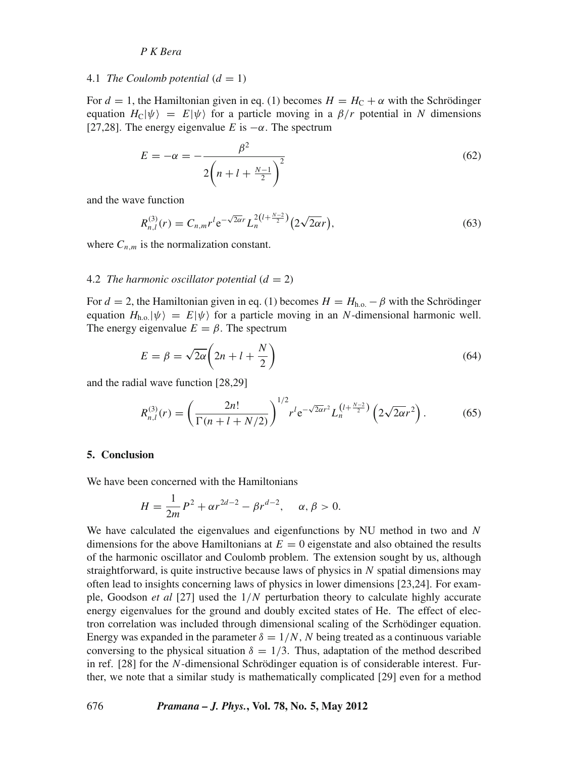#### 4.1 *The Coulomb potential*  $(d = 1)$

For  $d = 1$ , the Hamiltonian given in eq. (1) becomes  $H = H_C + \alpha$  with the Schrödinger equation  $H_C|\psi\rangle = E|\psi\rangle$  for a particle moving in a  $\beta/r$  potential in *N* dimensions [27,28]. The energy eigenvalue *E* is  $-\alpha$ . The spectrum

$$
E = -\alpha = -\frac{\beta^2}{2\left(n + l + \frac{N-1}{2}\right)^2}
$$
\n(62)

and the wave function

$$
R_{n,l}^{(3)}(r) = C_{n,m}r^{l}e^{-\sqrt{2\alpha}r}L_n^{2(l+\frac{N-2}{2})}(2\sqrt{2\alpha}r),
$$
\n(63)

where  $C_{n,m}$  is the normalization constant.

#### 4.2 *The harmonic oscillator potential*  $(d = 2)$

For  $d = 2$ , the Hamiltonian given in eq. (1) becomes  $H = H_{h.o.} - \beta$  with the Schrödinger equation  $H_{h.o.}|\psi\rangle = E|\psi\rangle$  for a particle moving in an *N*-dimensional harmonic well. The energy eigenvalue  $E = \beta$ . The spectrum

$$
E = \beta = \sqrt{2\alpha} \left( 2n + l + \frac{N}{2} \right) \tag{64}
$$

and the radial wave function [28,29]

$$
R_{n,l}^{(3)}(r) = \left(\frac{2n!}{\Gamma(n+l+N/2)}\right)^{1/2} r^l e^{-\sqrt{2\alpha}r^2} L_n^{(l+\frac{N-2}{2})} \left(2\sqrt{2\alpha}r^2\right). \tag{65}
$$

## **5. Conclusion**

We have been concerned with the Hamiltonians

$$
H = \frac{1}{2m}P^2 + \alpha r^{2d-2} - \beta r^{d-2}, \quad \alpha, \beta > 0.
$$

We have calculated the eigenvalues and eigenfunctions by NU method in two and *N* dimensions for the above Hamiltonians at  $E = 0$  eigenstate and also obtained the results of the harmonic oscillator and Coulomb problem. The extension sought by us, although straightforward, is quite instructive because laws of physics in *N* spatial dimensions may often lead to insights concerning laws of physics in lower dimensions [23,24]. For example, Goodson *et al* [27] used the 1/*N* perturbation theory to calculate highly accurate energy eigenvalues for the ground and doubly excited states of He. The effect of electron correlation was included through dimensional scaling of the Scrhödinger equation. Energy was expanded in the parameter  $\delta = 1/N$ , *N* being treated as a continuous variable conversing to the physical situation  $\delta = 1/3$ . Thus, adaptation of the method described in ref. [28] for the *N*-dimensional Schrödinger equation is of considerable interest. Further, we note that a similar study is mathematically complicated [29] even for a method